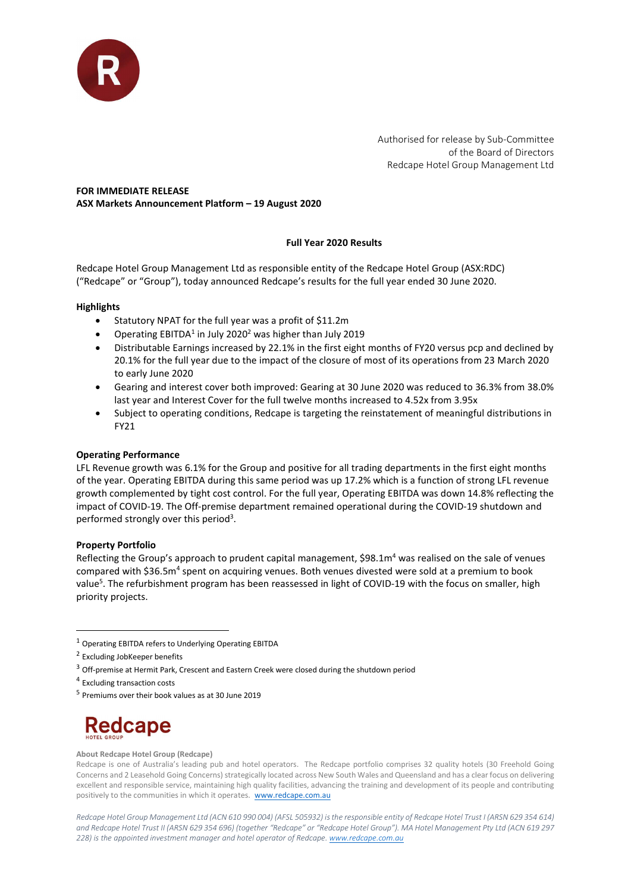

Authorised for release by Sub-Committee of the Board of Directors Redcape Hotel Group Management Ltd

# FOR IMMEDIATE RELEASE ASX Markets Announcement Platform – 19 August 2020

## Full Year 2020 Results

Redcape Hotel Group Management Ltd as responsible entity of the Redcape Hotel Group (ASX:RDC) ("Redcape" or "Group"), today announced Redcape's results for the full year ended 30 June 2020.

## **Highlights**

- Statutory NPAT for the full year was a profit of \$11.2m
- Operating EBITDA<sup>1</sup> in July 2020<sup>2</sup> was higher than July 2019
- Distributable Earnings increased by 22.1% in the first eight months of FY20 versus pcp and declined by 20.1% for the full year due to the impact of the closure of most of its operations from 23 March 2020 to early June 2020
- Gearing and interest cover both improved: Gearing at 30 June 2020 was reduced to 36.3% from 38.0% last year and Interest Cover for the full twelve months increased to 4.52x from 3.95x
- Subject to operating conditions, Redcape is targeting the reinstatement of meaningful distributions in FY21

## Operating Performance

LFL Revenue growth was 6.1% for the Group and positive for all trading departments in the first eight months of the year. Operating EBITDA during this same period was up 17.2% which is a function of strong LFL revenue growth complemented by tight cost control. For the full year, Operating EBITDA was down 14.8% reflecting the impact of COVID-19. The Off-premise department remained operational during the COVID-19 shutdown and performed strongly over this period<sup>3</sup>.

## Property Portfolio

Reflecting the Group's approach to prudent capital management, \$98.1m<sup>4</sup> was realised on the sale of venues compared with \$36.5m<sup>4</sup> spent on acquiring venues. Both venues divested were sold at a premium to book value<sup>5</sup>. The refurbishment program has been reassessed in light of COVID-19 with the focus on smaller, high priority projects.

<sup>5</sup> Premiums over their book values as at 30 June 2019



#### About Redcape Hotel Group (Redcape)

Redcape is one of Australia's leading pub and hotel operators. The Redcape portfolio comprises 32 quality hotels (30 Freehold Going Concerns and 2 Leasehold Going Concerns) strategically located across New South Wales and Queensland and has a clear focus on delivering excellent and responsible service, maintaining high quality facilities, advancing the training and development of its people and contributing positively to the communities in which it operates. www.redcape.com.au

Redcape Hotel Group Management Ltd (ACN 610 990 004) (AFSL 505932) is the responsible entity of Redcape Hotel Trust I (ARSN 629 354 614) and Redcape Hotel Trust II (ARSN 629 354 696) (together "Redcape" or "Redcape Hotel Group"). MA Hotel Management Pty Ltd (ACN 619 297 228) is the appointed investment manager and hotel operator of Redcape. www.redcape.com.au

<sup>1</sup> Operating EBITDA refers to Underlying Operating EBITDA

<sup>2</sup> Excluding JobKeeper benefits

<sup>3</sup> Off-premise at Hermit Park, Crescent and Eastern Creek were closed during the shutdown period

<sup>4</sup> Excluding transaction costs